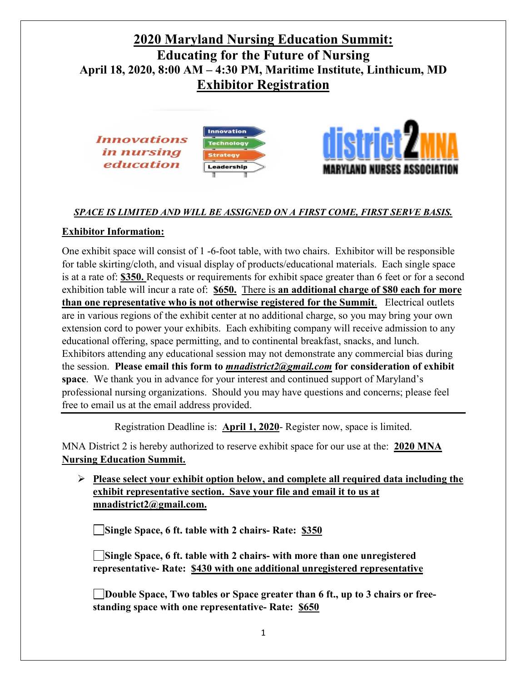## **2020 Maryland Nursing Education Summit: Educating for the Future of Nursing April 18, 2020, 8:00 AM – 4:30 PM, Maritime Institute, Linthicum, MD Exhibitor Registration**





## *SPACE IS LIMITED AND WILL BE ASSIGNED ON A FIRST COME, FIRST SERVE BASIS.*

## **Exhibitor Information:**

One exhibit space will consist of 1 -6-foot table, with two chairs. Exhibitor will be responsible for table skirting/cloth, and visual display of products/educational materials. Each single space is at a rate of: **\$350.** Requests or requirements for exhibit space greater than 6 feet or for a second exhibition table will incur a rate of: **\$650.** There is **an additional charge of \$80 each for more than one representative who is not otherwise registered for the Summit**. Electrical outlets are in various regions of the exhibit center at no additional charge, so you may bring your own extension cord to power your exhibits. Each exhibiting company will receive admission to any educational offering, space permitting, and to continental breakfast, snacks, and lunch. Exhibitors attending any educational session may not demonstrate any commercial bias during the session. **Please email this form to** *mnadistrict2@gmail.com* **for consideration of exhibit space**. We thank you in advance for your interest and continued support of Maryland's professional nursing organizations. Should you may have questions and concerns; please feel free to email us at the email address provided.

Registration Deadline is: **April 1, 2020**- Register now, space is limited.

MNA District 2 is hereby authorized to reserve exhibit space for our use at the: **2020 MNA Nursing Education Summit.**

 **Please select your exhibit option below, and complete all required data including the exhibit representative section. Save your file and email it to us at mnadistrict2@gmail.com.**

**Single Space, 6 ft. table with 2 chairs- Rate: \$350**

**Single Space, 6 ft. table with 2 chairs- with more than one unregistered representative- Rate: \$430 with one additional unregistered representative**

**Double Space, Two tables or Space greater than 6 ft., up to 3 chairs or freestanding space with one representative- Rate: \$650**